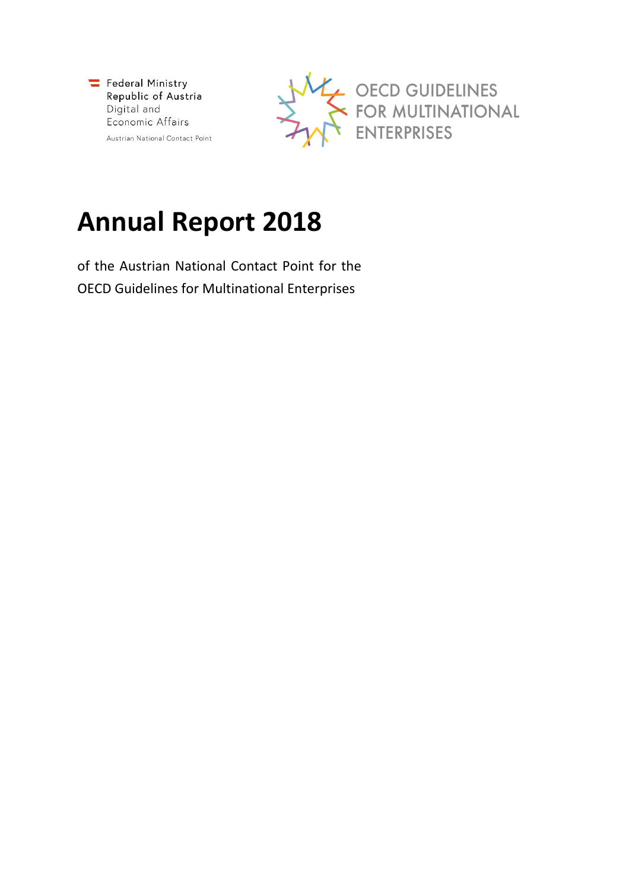



# **Annual Report 2018**

of the Austrian National Contact Point for the OECD Guidelines for Multinational Enterprises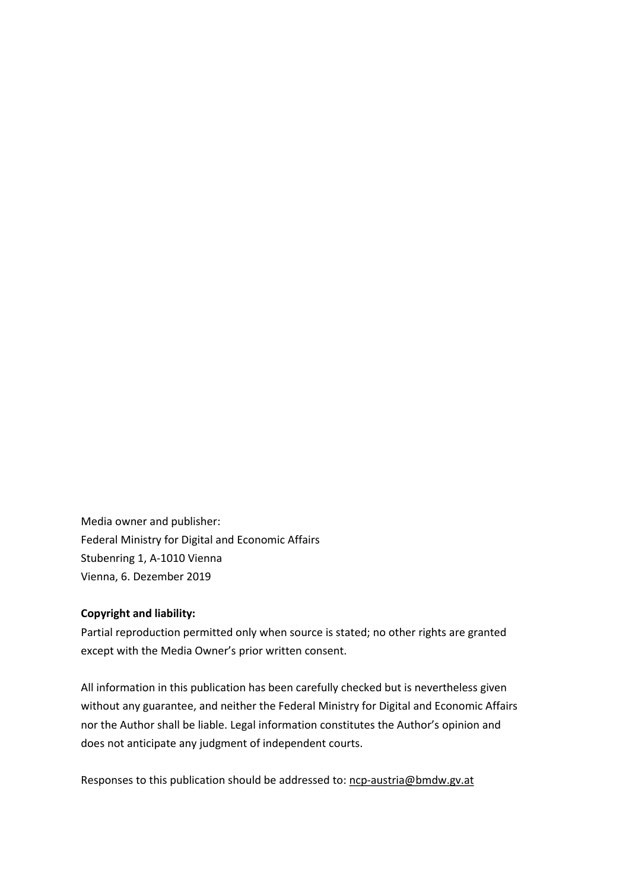Media owner and publisher: Federal Ministry for Digital and Economic Affairs Stubenring 1, A-1010 Vienna Vienna, 6. Dezember 2019

#### **Copyright and liability:**

Partial reproduction permitted only when source is stated; no other rights are granted except with the Media Owner's prior written consent.

All information in this publication has been carefully checked but is nevertheless given without any guarantee, and neither the Federal Ministry for Digital and Economic Affairs nor the Author shall be liable. Legal information constitutes the Author's opinion and does not anticipate any judgment of independent courts.

Responses to this publication should be addressed to: [ncp-austria@bmdw.gv.at](mailto:ncp-austria@bmdw.gv.at)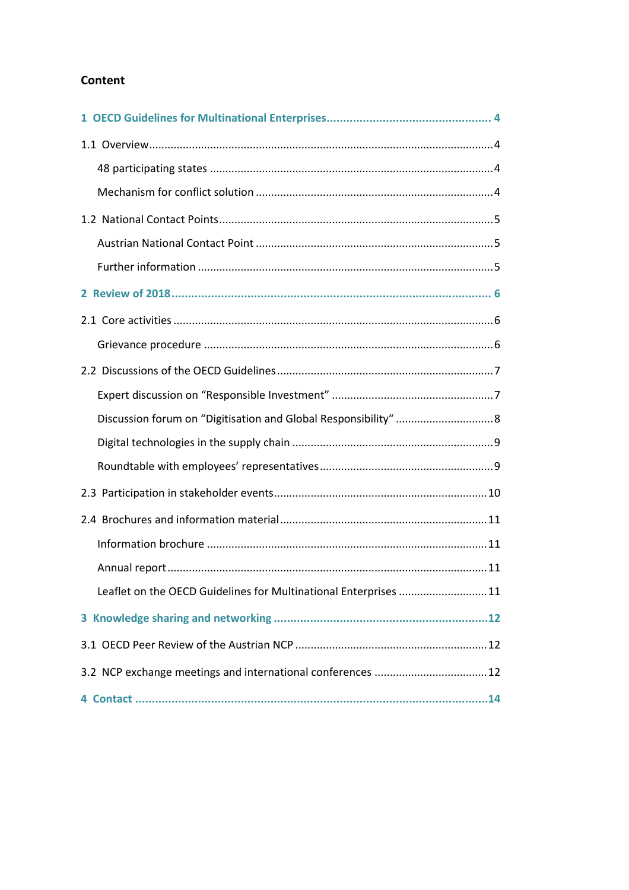## Content

| Leaflet on the OECD Guidelines for Multinational Enterprises 11 |
|-----------------------------------------------------------------|
|                                                                 |
|                                                                 |
| 3.2 NCP exchange meetings and international conferences 12      |
|                                                                 |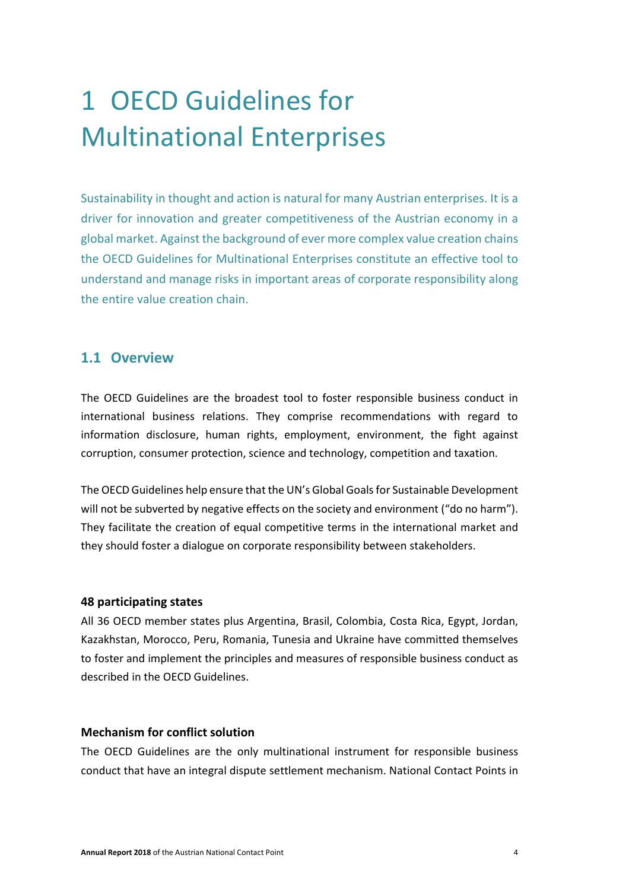# <span id="page-3-0"></span>1 OECD Guidelines for Multinational Enterprises

Sustainability in thought and action is natural for many Austrian enterprises. It is a driver for innovation and greater competitiveness of the Austrian economy in a global market. Against the background of ever more complex value creation chains the OECD Guidelines for Multinational Enterprises constitute an effective tool to understand and manage risks in important areas of corporate responsibility along the entire value creation chain.

## <span id="page-3-1"></span>**1.1 Overview**

The OECD Guidelines are the broadest tool to foster responsible business conduct in international business relations. They comprise recommendations with regard to information disclosure, human rights, employment, environment, the fight against corruption, consumer protection, science and technology, competition and taxation.

The OECD Guidelines help ensure that the UN's Global Goals for Sustainable Development will not be subverted by negative effects on the society and environment ("do no harm"). They facilitate the creation of equal competitive terms in the international market and they should foster a dialogue on corporate responsibility between stakeholders.

#### <span id="page-3-2"></span>**48 participating states**

All 36 OECD member states plus Argentina, Brasil, Colombia, Costa Rica, Egypt, Jordan, Kazakhstan, Morocco, Peru, Romania, Tunesia and Ukraine have committed themselves to foster and implement the principles and measures of responsible business conduct as described in the OECD Guidelines.

#### <span id="page-3-3"></span>**Mechanism for conflict solution**

The OECD Guidelines are the only multinational instrument for responsible business conduct that have an integral dispute settlement mechanism. National Contact Points in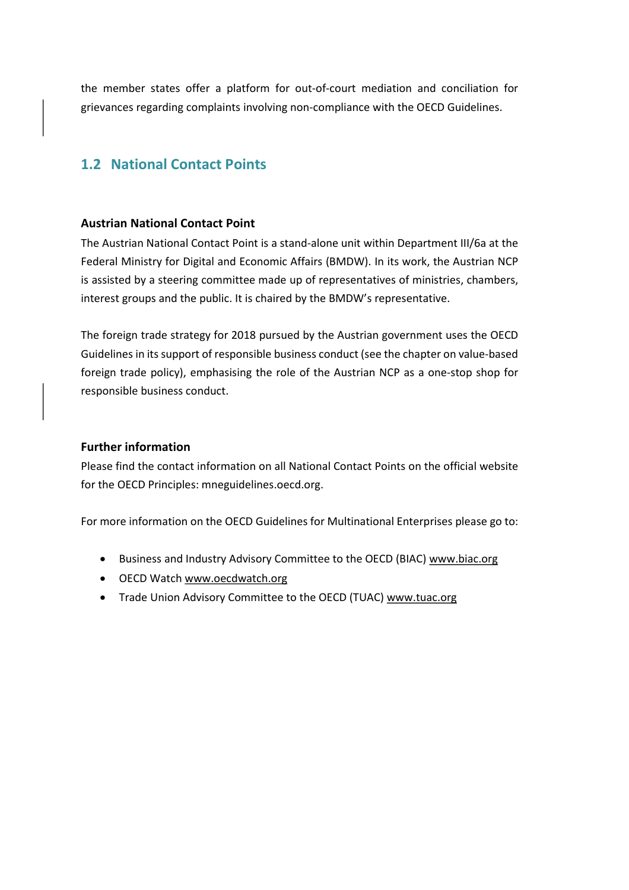the member states offer a platform for out-of-court mediation and conciliation for grievances regarding complaints involving non-compliance with the OECD Guidelines.

## <span id="page-4-0"></span>**1.2 National Contact Points**

#### <span id="page-4-1"></span>**Austrian National Contact Point**

The Austrian National Contact Point is a stand-alone unit within Department III/6a at the Federal Ministry for Digital and Economic Affairs (BMDW). In its work, the Austrian NCP is assisted by a steering committee made up of representatives of ministries, chambers, interest groups and the public. It is chaired by the BMDW's representative.

The foreign trade strategy for 2018 pursued by the Austrian government uses the OECD Guidelines in its support of responsible business conduct (see the chapter on value-based foreign trade policy), emphasising the role of the Austrian NCP as a one-stop shop for responsible business conduct.

#### <span id="page-4-2"></span>**Further information**

Please find the contact information on all National Contact Points on the official website for the OECD Principles: mneguidelines.oecd.org.

For more information on the OECD Guidelines for Multinational Enterprises please go to:

- Business and Industry Advisory Committee to the OECD (BIAC) [www.biac.org](http://www.biac.org/)
- OECD Watch www.oecdwatch.org
- Trade Union Advisory Committee to the OECD (TUAC) [www.tuac.org](http://www.tuac.org/)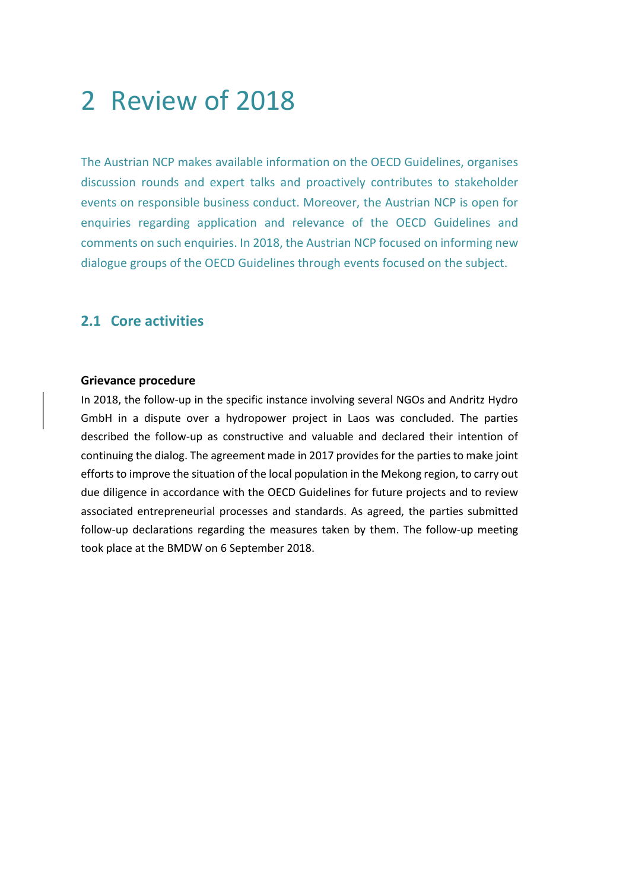## <span id="page-5-0"></span>2 Review of 2018

The Austrian NCP makes available information on the OECD Guidelines, organises discussion rounds and expert talks and proactively contributes to stakeholder events on responsible business conduct. Moreover, the Austrian NCP is open for enquiries regarding application and relevance of the OECD Guidelines and comments on such enquiries. In 2018, the Austrian NCP focused on informing new dialogue groups of the OECD Guidelines through events focused on the subject.

## <span id="page-5-1"></span>**2.1 Core activities**

#### <span id="page-5-2"></span>**Grievance procedure**

In 2018, the follow-up in the specific instance involving several NGOs and Andritz Hydro GmbH in a dispute over a hydropower project in Laos was concluded. The parties described the follow-up as constructive and valuable and declared their intention of continuing the dialog. The agreement made in 2017 provides for the parties to make joint efforts to improve the situation of the local population in the Mekong region, to carry out due diligence in accordance with the OECD Guidelines for future projects and to review associated entrepreneurial processes and standards. As agreed, the parties submitted follow-up declarations regarding the measures taken by them. The follow-up meeting took place at the BMDW on 6 September 2018.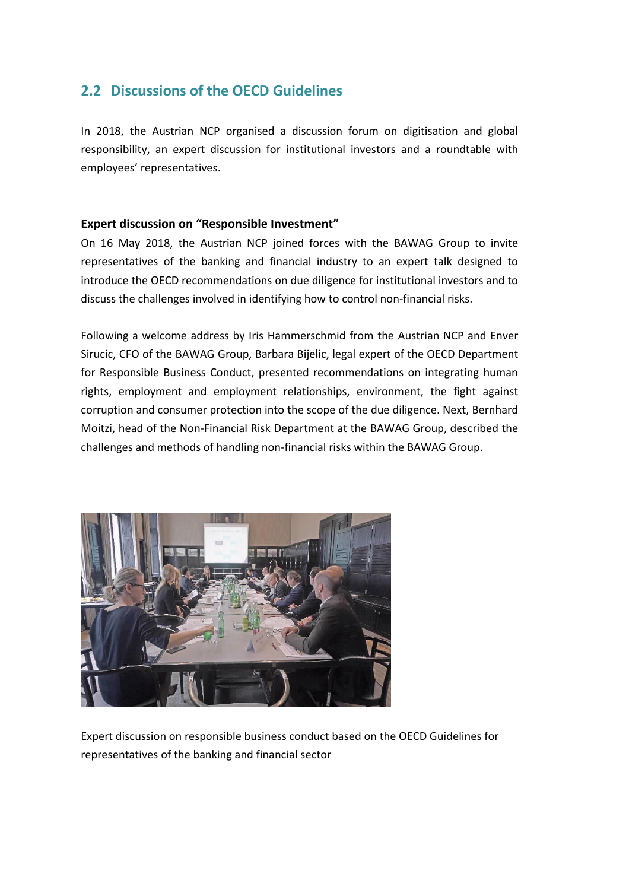## <span id="page-6-0"></span>**2.2 Discussions of the OECD Guidelines**

In 2018, the Austrian NCP organised a discussion forum on digitisation and global responsibility, an expert discussion for institutional investors and a roundtable with employees' representatives.

#### <span id="page-6-1"></span>**Expert discussion on "Responsible Investment"**

On 16 May 2018, the Austrian NCP joined forces with the BAWAG Group to invite representatives of the banking and financial industry to an expert talk designed to introduce the OECD recommendations on due diligence for institutional investors and to discuss the challenges involved in identifying how to control non-financial risks.

Following a welcome address by Iris Hammerschmid from the Austrian NCP and Enver Sirucic, CFO of the BAWAG Group, Barbara Bijelic, legal expert of the OECD Department for Responsible Business Conduct, presented recommendations on integrating human rights, employment and employment relationships, environment, the fight against corruption and consumer protection into the scope of the due diligence. Next, Bernhard Moitzi, head of the Non-Financial Risk Department at the BAWAG Group, described the challenges and methods of handling non-financial risks within the BAWAG Group.



Expert discussion on responsible business conduct based on the OECD Guidelines for representatives of the banking and financial sector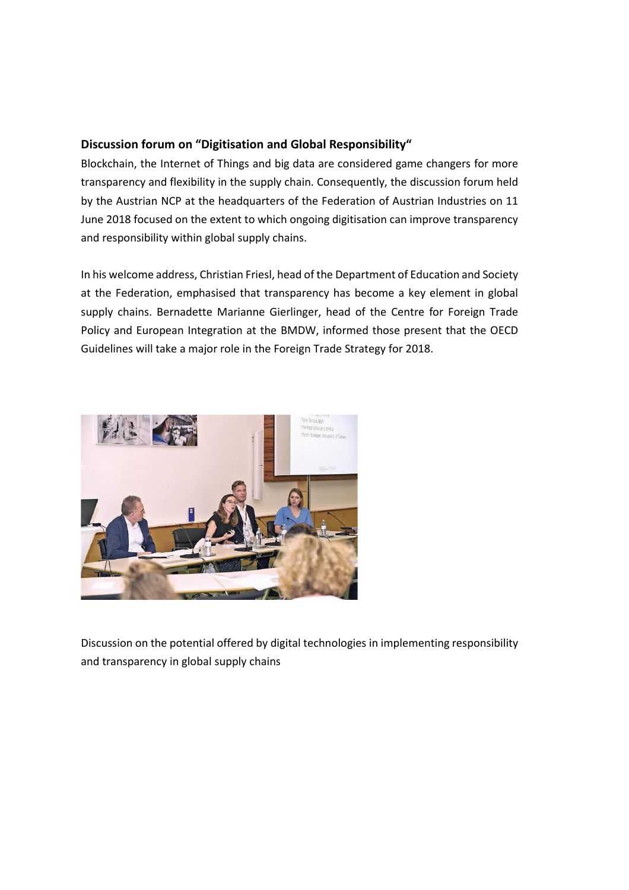## <span id="page-7-0"></span>**Discussion forum on "Digitisation and Global Responsibility"**

Blockchain, the Internet of Things and big data are considered game changers for more transparency and flexibility in the supply chain. Consequently, the discussion forum held by the Austrian NCP at the headquarters of the Federation of Austrian Industries on 11 June 2018 focused on the extent to which ongoing digitisation can improve transparency and responsibility within global supply chains.

In his welcome address, Christian Friesl, head of the Department of Education and Society at the Federation, emphasised that transparency has become a key element in global supply chains. Bernadette Marianne Gierlinger, head of the Centre for Foreign Trade Policy and European Integration at the BMDW, informed those present that the OECD Guidelines will take a major role in the Foreign Trade Strategy for 2018.



Discussion on the potential offered by digital technologies in implementing responsibility and transparency in global supply chains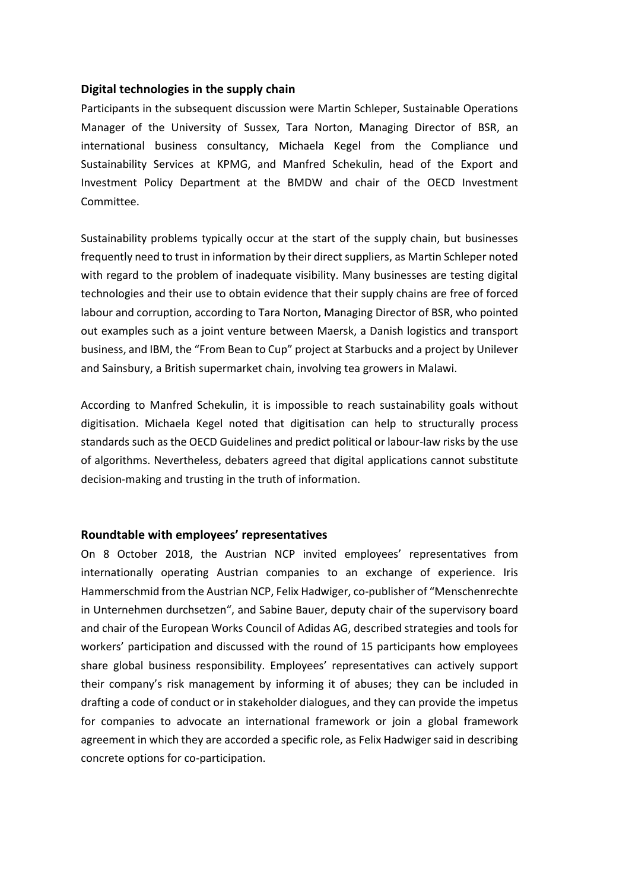#### <span id="page-8-0"></span>**Digital technologies in the supply chain**

Participants in the subsequent discussion were Martin Schleper, Sustainable Operations Manager of the University of Sussex, Tara Norton, Managing Director of BSR, an international business consultancy, Michaela Kegel from the Compliance und Sustainability Services at KPMG, and Manfred Schekulin, head of the Export and Investment Policy Department at the BMDW and chair of the OECD Investment Committee.

Sustainability problems typically occur at the start of the supply chain, but businesses frequently need to trust in information by their direct suppliers, as Martin Schleper noted with regard to the problem of inadequate visibility. Many businesses are testing digital technologies and their use to obtain evidence that their supply chains are free of forced labour and corruption, according to Tara Norton, Managing Director of BSR, who pointed out examples such as a joint venture between Maersk, a Danish logistics and transport business, and IBM, the "From Bean to Cup" project at Starbucks and a project by Unilever and Sainsbury, a British supermarket chain, involving tea growers in Malawi.

According to Manfred Schekulin, it is impossible to reach sustainability goals without digitisation. Michaela Kegel noted that digitisation can help to structurally process standards such as the OECD Guidelines and predict political or labour-law risks by the use of algorithms. Nevertheless, debaters agreed that digital applications cannot substitute decision-making and trusting in the truth of information.

#### <span id="page-8-1"></span>**Roundtable with employees' representatives**

On 8 October 2018, the Austrian NCP invited employees' representatives from internationally operating Austrian companies to an exchange of experience. Iris Hammerschmid from the Austrian NCP, Felix Hadwiger, co-publisher of "Menschenrechte in Unternehmen durchsetzen", and Sabine Bauer, deputy chair of the supervisory board and chair of the European Works Council of Adidas AG, described strategies and tools for workers' participation and discussed with the round of 15 participants how employees share global business responsibility. Employees' representatives can actively support their company's risk management by informing it of abuses; they can be included in drafting a code of conduct or in stakeholder dialogues, and they can provide the impetus for companies to advocate an international framework or join a global framework agreement in which they are accorded a specific role, as Felix Hadwiger said in describing concrete options for co-participation.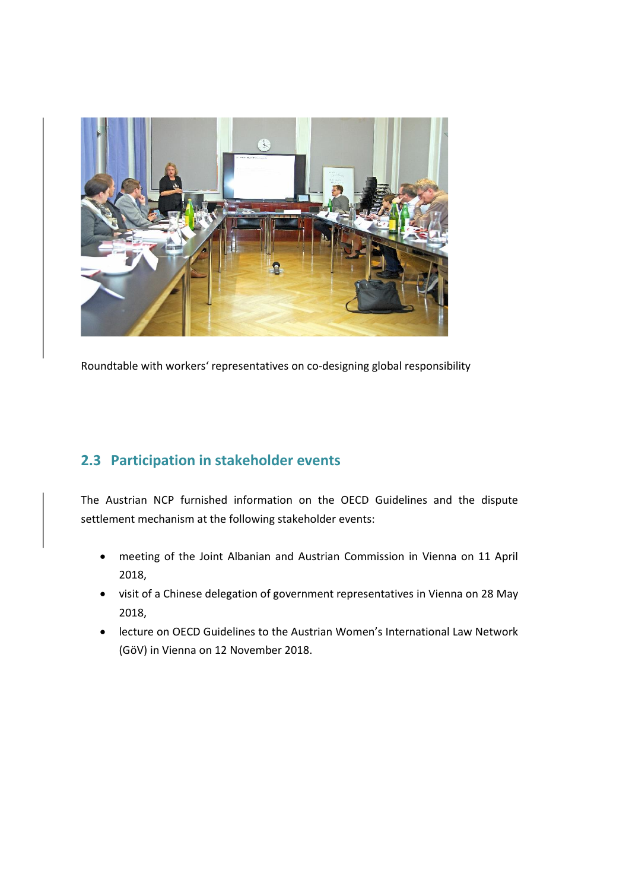

Roundtable with workers' representatives on co-designing global responsibility

## <span id="page-9-0"></span>**2.3 Participation in stakeholder events**

The Austrian NCP furnished information on the OECD Guidelines and the dispute settlement mechanism at the following stakeholder events:

- meeting of the Joint Albanian and Austrian Commission in Vienna on 11 April 2018,
- visit of a Chinese delegation of government representatives in Vienna on 28 May 2018,
- lecture on OECD Guidelines to the Austrian Women's International Law Network (GöV) in Vienna on 12 November 2018.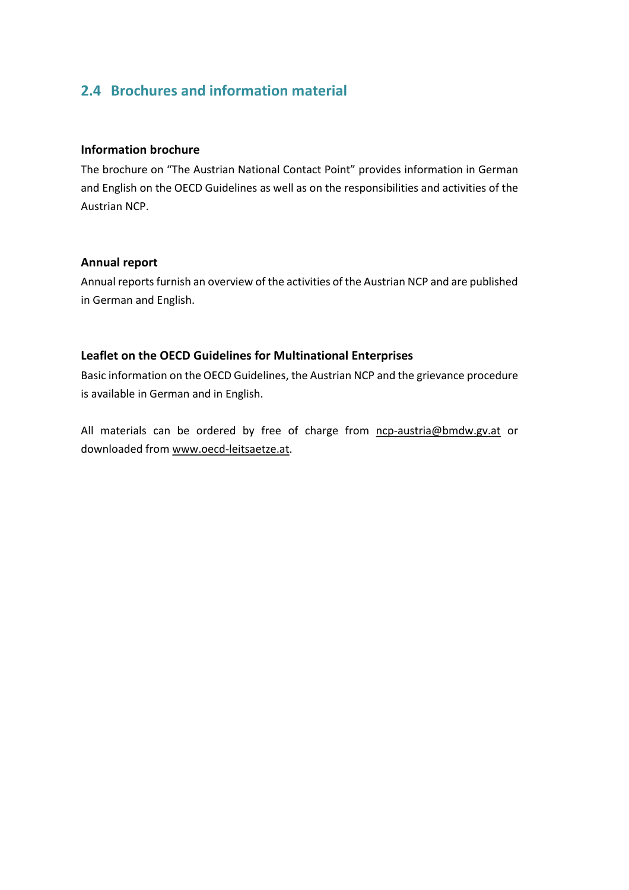## <span id="page-10-0"></span>**2.4 Brochures and information material**

#### <span id="page-10-1"></span>**Information brochure**

The brochure on "The Austrian National Contact Point" provides information in German and English on the OECD Guidelines as well as on the responsibilities and activities of the Austrian NCP.

### <span id="page-10-2"></span>**Annual report**

Annual reports furnish an overview of the activities of the Austrian NCP and are published in German and English.

## <span id="page-10-3"></span>**Leaflet on the OECD Guidelines for Multinational Enterprises**

Basic information on the OECD Guidelines, the Austrian NCP and the grievance procedure is available in German and in English.

All materials can be ordered by free of charge from [ncp-austria@bmdw.gv.at](mailto:ncp-austria@bmdw.gv.at) or downloaded from [www.oecd-leitsaetze.at.](http://www.oecd-leitsaetze.at/)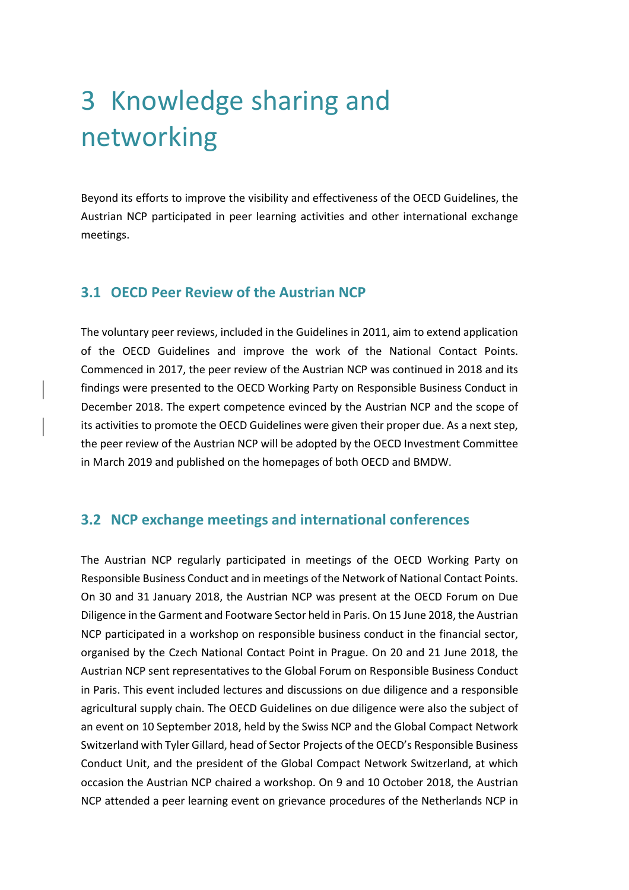# <span id="page-11-0"></span>3 Knowledge sharing and networking

Beyond its efforts to improve the visibility and effectiveness of the OECD Guidelines, the Austrian NCP participated in peer learning activities and other international exchange meetings.

## <span id="page-11-1"></span>**3.1 OECD Peer Review of the Austrian NCP**

The voluntary peer reviews, included in the Guidelines in 2011, aim to extend application of the OECD Guidelines and improve the work of the National Contact Points. Commenced in 2017, the peer review of the Austrian NCP was continued in 2018 and its findings were presented to the OECD Working Party on Responsible Business Conduct in December 2018. The expert competence evinced by the Austrian NCP and the scope of its activities to promote the OECD Guidelines were given their proper due. As a next step, the peer review of the Austrian NCP will be adopted by the OECD Investment Committee in March 2019 and published on the homepages of both OECD and BMDW.

## <span id="page-11-2"></span>**3.2 NCP exchange meetings and international conferences**

The Austrian NCP regularly participated in meetings of the OECD Working Party on Responsible Business Conduct and in meetings of the Network of National Contact Points. On 30 and 31 January 2018, the Austrian NCP was present at the OECD Forum on Due Diligence in the Garment and Footware Sector held in Paris. On 15 June 2018, the Austrian NCP participated in a workshop on responsible business conduct in the financial sector, organised by the Czech National Contact Point in Prague. On 20 and 21 June 2018, the Austrian NCP sent representatives to the Global Forum on Responsible Business Conduct in Paris. This event included lectures and discussions on due diligence and a responsible agricultural supply chain. The OECD Guidelines on due diligence were also the subject of an event on 10 September 2018, held by the Swiss NCP and the Global Compact Network Switzerland with Tyler Gillard, head of Sector Projects of the OECD's Responsible Business Conduct Unit, and the president of the Global Compact Network Switzerland, at which occasion the Austrian NCP chaired a workshop. On 9 and 10 October 2018, the Austrian NCP attended a peer learning event on grievance procedures of the Netherlands NCP in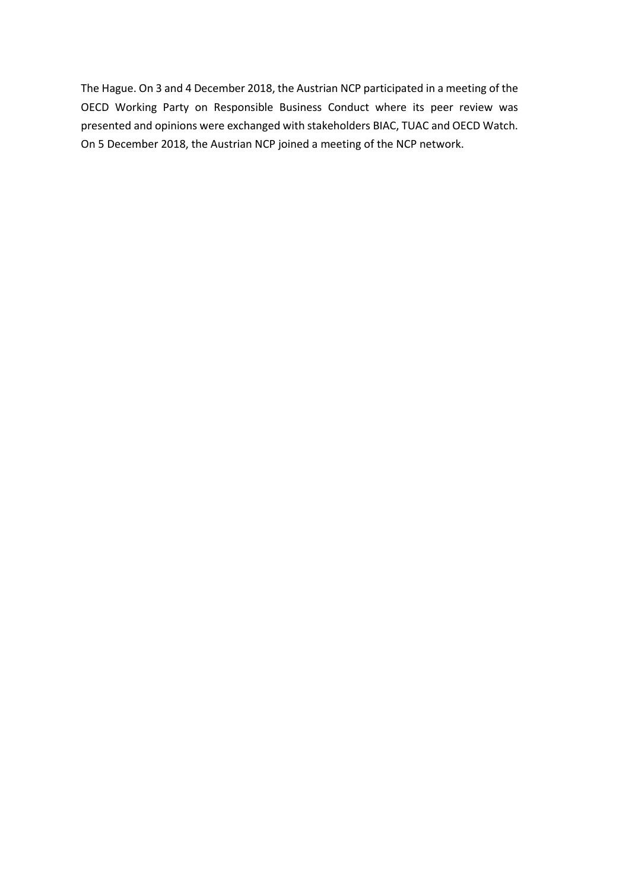The Hague. On 3 and 4 December 2018, the Austrian NCP participated in a meeting of the OECD Working Party on Responsible Business Conduct where its peer review was presented and opinions were exchanged with stakeholders BIAC, TUAC and OECD Watch. On 5 December 2018, the Austrian NCP joined a meeting of the NCP network.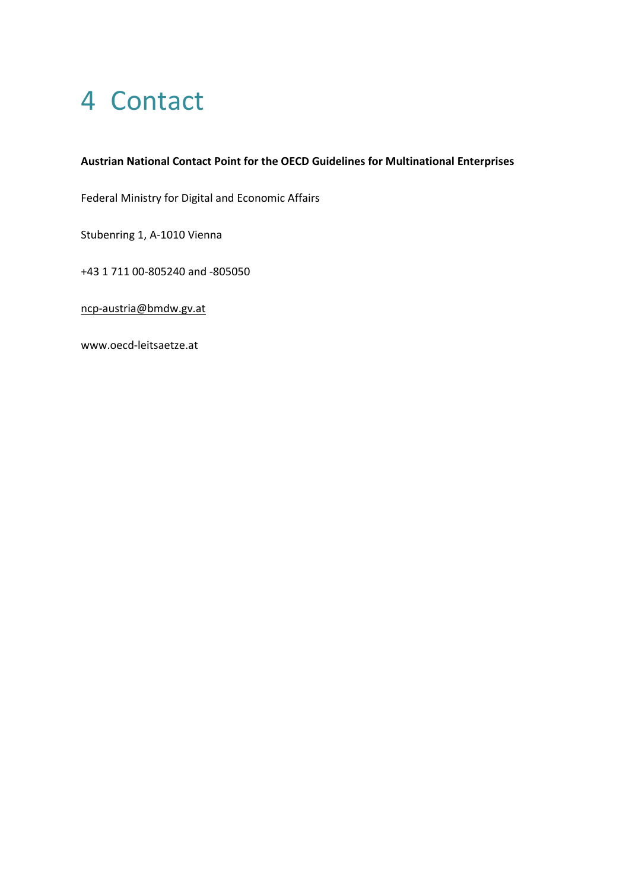## <span id="page-13-0"></span>4 Contact

#### **Austrian National Contact Point for the OECD Guidelines for Multinational Enterprises**

Federal Ministry for Digital and Economic Affairs

Stubenring 1, A-1010 Vienna

+43 1 711 00-805240 and -805050

[ncp-austria@bmdw.gv.at](mailto:ncp-austria@bmdw.gv.at)

www.oecd-leitsaetze.at